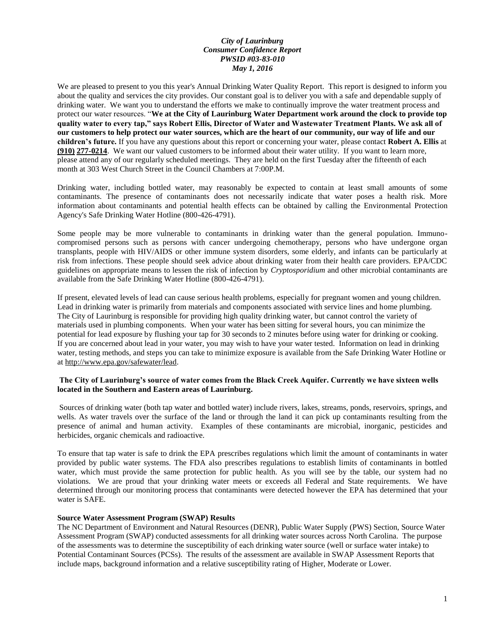# *City of Laurinburg Consumer Confidence Report PWSID #03-83-010 May 1, 2016*

We are pleased to present to you this year's Annual Drinking Water Quality Report. This report is designed to inform you about the quality and services the city provides. Our constant goal is to deliver you with a safe and dependable supply of drinking water. We want you to understand the efforts we make to continually improve the water treatment process and protect our water resources. "**We at the City of Laurinburg Water Department work around the clock to provide top quality water to every tap," says Robert Ellis, Director of Water and Wastewater Treatment Plants. We ask all of our customers to help protect our water sources, which are the heart of our community, our way of life and our children's future.** If you have any questions about this report or concerning your water, please contact **Robert A. Ellis** at **(910) 277-0214**. We want our valued customers to be informed about their water utility. If you want to learn more, please attend any of our regularly scheduled meetings. They are held on the first Tuesday after the fifteenth of each month at 303 West Church Street in the Council Chambers at 7:00P.M.

Drinking water, including bottled water, may reasonably be expected to contain at least small amounts of some contaminants. The presence of contaminants does not necessarily indicate that water poses a health risk. More information about contaminants and potential health effects can be obtained by calling the Environmental Protection Agency's Safe Drinking Water Hotline (800-426-4791).

Some people may be more vulnerable to contaminants in drinking water than the general population. Immunocompromised persons such as persons with cancer undergoing chemotherapy, persons who have undergone organ transplants, people with HIV/AIDS or other immune system disorders, some elderly, and infants can be particularly at risk from infections. These people should seek advice about drinking water from their health care providers. EPA/CDC guidelines on appropriate means to lessen the risk of infection by *Cryptosporidium* and other microbial contaminants are available from the Safe Drinking Water Hotline (800-426-4791).

If present, elevated levels of lead can cause serious health problems, especially for pregnant women and young children. Lead in drinking water is primarily from materials and components associated with service lines and home plumbing. The City of Laurinburg is responsible for providing high quality drinking water, but cannot control the variety of materials used in plumbing components. When your water has been sitting for several hours, you can minimize the potential for lead exposure by flushing your tap for 30 seconds to 2 minutes before using water for drinking or cooking. If you are concerned about lead in your water, you may wish to have your water tested. Information on lead in drinking water, testing methods, and steps you can take to minimize exposure is available from the Safe Drinking Water Hotline or a[t http://www.epa.gov/safewater/lead.](http://www.epa.gov/safewater/lead)

### **The City of Laurinburg's source of water comes from the Black Creek Aquifer. Currently we have sixteen wells located in the Southern and Eastern areas of Laurinburg.**

Sources of drinking water (both tap water and bottled water) include rivers, lakes, streams, ponds, reservoirs, springs, and wells. As water travels over the surface of the land or through the land it can pick up contaminants resulting from the presence of animal and human activity. Examples of these contaminants are microbial, inorganic, pesticides and herbicides, organic chemicals and radioactive.

To ensure that tap water is safe to drink the EPA prescribes regulations which limit the amount of contaminants in water provided by public water systems. The FDA also prescribes regulations to establish limits of contaminants in bottled water, which must provide the same protection for public health. As you will see by the table, our system had no violations. We are proud that your drinking water meets or exceeds all Federal and State requirements. We have determined through our monitoring process that contaminants were detected however the EPA has determined that your water is SAFE.

## **Source Water Assessment Program (SWAP) Results**

The NC Department of Environment and Natural Resources (DENR), Public Water Supply (PWS) Section, Source Water Assessment Program (SWAP) conducted assessments for all drinking water sources across North Carolina. The purpose of the assessments was to determine the susceptibility of each drinking water source (well or surface water intake) to Potential Contaminant Sources (PCSs). The results of the assessment are available in SWAP Assessment Reports that include maps, background information and a relative susceptibility rating of Higher, Moderate or Lower.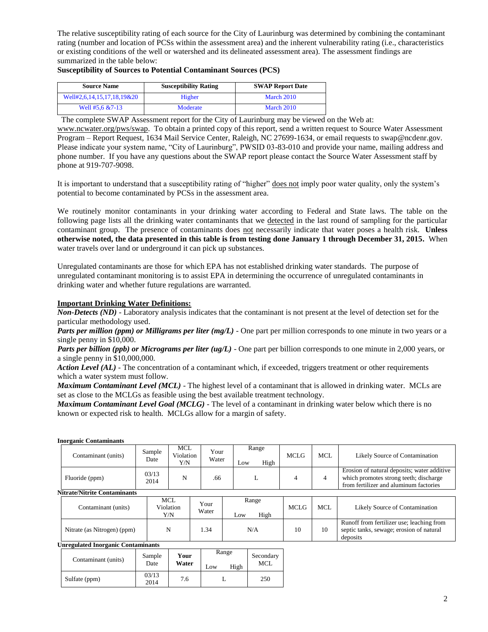The relative susceptibility rating of each source for the City of Laurinburg was determined by combining the contaminant rating (number and location of PCSs within the assessment area) and the inherent vulnerability rating (i.e., characteristics or existing conditions of the well or watershed and its delineated assessment area). The assessment findings are summarized in the table below:

| <b>Source Name</b>         | <b>Susceptibility Rating</b> | <b>SWAP Report Date</b> |  |  |  |
|----------------------------|------------------------------|-------------------------|--|--|--|
| Well#2,6,14,15,17,18,19&20 | Higher                       | March 2010              |  |  |  |
| Well $#5.6 \& 7-13$        | Moderate                     | March 2010              |  |  |  |

### **Susceptibility of Sources to Potential Contaminant Sources (PCS)**

The complete SWAP Assessment report for the City of Laurinburg may be viewed on the Web at:

[www.ncwater.org/pws/swap.](http://www.ncwater.org/pws/swap) To obtain a printed copy of this report, send a written request to Source Water Assessment Program – Report Request, 1634 Mail Service Center, Raleigh, NC 27699-1634, or email requests to swap@ncdenr.gov. Please indicate your system name, "City of Laurinburg", PWSID 03-83-010 and provide your name, mailing address and phone number. If you have any questions about the SWAP report please contact the Source Water Assessment staff by phone at 919-707-9098.

It is important to understand that a susceptibility rating of "higher" does not imply poor water quality, only the system's potential to become contaminated by PCSs in the assessment area.

We routinely monitor contaminants in your drinking water according to Federal and State laws. The table on the following page lists all the drinking water contaminants that we detected in the last round of sampling for the particular contaminant group. The presence of contaminants does not necessarily indicate that water poses a health risk. **Unless otherwise noted, the data presented in this table is from testing done January 1 through December 31, 2015.** When water travels over land or underground it can pick up substances.

Unregulated contaminants are those for which EPA has not established drinking water standards. The purpose of unregulated contaminant monitoring is to assist EPA in determining the occurrence of unregulated contaminants in drinking water and whether future regulations are warranted.

#### **Important Drinking Water Definitions:**

*Non-Detects (ND)* - Laboratory analysis indicates that the contaminant is not present at the level of detection set for the particular methodology used.

*Parts per million (ppm) or Milligrams per liter (mg/L)* - One part per million corresponds to one minute in two years or a single penny in \$10,000.

*Parts per billion (ppb) or Micrograms per liter (ug/L)* - One part per billion corresponds to one minute in 2,000 years, or a single penny in \$10,000,000.

*Action Level (AL) -* The concentration of a contaminant which, if exceeded, triggers treatment or other requirements which a water system must follow.

*Maximum Contaminant Level (MCL)* - The highest level of a contaminant that is allowed in drinking water. MCLs are set as close to the MCLGs as feasible using the best available treatment technology.

*Maximum Contaminant Level Goal (MCLG)* - The level of a contaminant in drinking water below which there is no known or expected risk to health. MCLGs allow for a margin of safety.

#### **Inorganic Contaminants**

|                                     | Contaminant (units) | Sample<br>Date | MCL<br>Violation<br>Y/N | Your<br>Water | Range<br>High<br>Low | <b>MCLG</b> | MCL | Likely Source of Contamination                                                                                                  |
|-------------------------------------|---------------------|----------------|-------------------------|---------------|----------------------|-------------|-----|---------------------------------------------------------------------------------------------------------------------------------|
|                                     | Fluoride (ppm)      | 03/13<br>2014  | N                       | .66           | ⊷                    |             |     | Erosion of natural deposits; water additive<br>which promotes strong teeth; discharge<br>from fertilizer and aluminum factories |
| <b>Nitrate/Nitrite Contaminants</b> |                     |                |                         |               |                      |             |     |                                                                                                                                 |

| Contaminant (units)         | MCL<br>Violation<br>Y/N | Your<br>Water | Range<br>High<br>LOW | <b>MCLG</b> | <b>MCL</b> | Likely Source of Contamination                                                                    |
|-----------------------------|-------------------------|---------------|----------------------|-------------|------------|---------------------------------------------------------------------------------------------------|
| Nitrate (as Nitrogen) (ppm) |                         | .34           | N/A                  | 10          | 10         | Runoff from fertilizer use; leaching from<br>septic tanks, sewage; erosion of natural<br>deposits |

# **Unregulated Inorganic Contaminants**

| Contaminant (units) | Sample        | Your  | Range       | Secondary<br>MCL |
|---------------------|---------------|-------|-------------|------------------|
|                     | Date          | Water | High<br>Low |                  |
| Sulfate (ppm)       | 03/13<br>2014 | 7.6   |             | 250              |